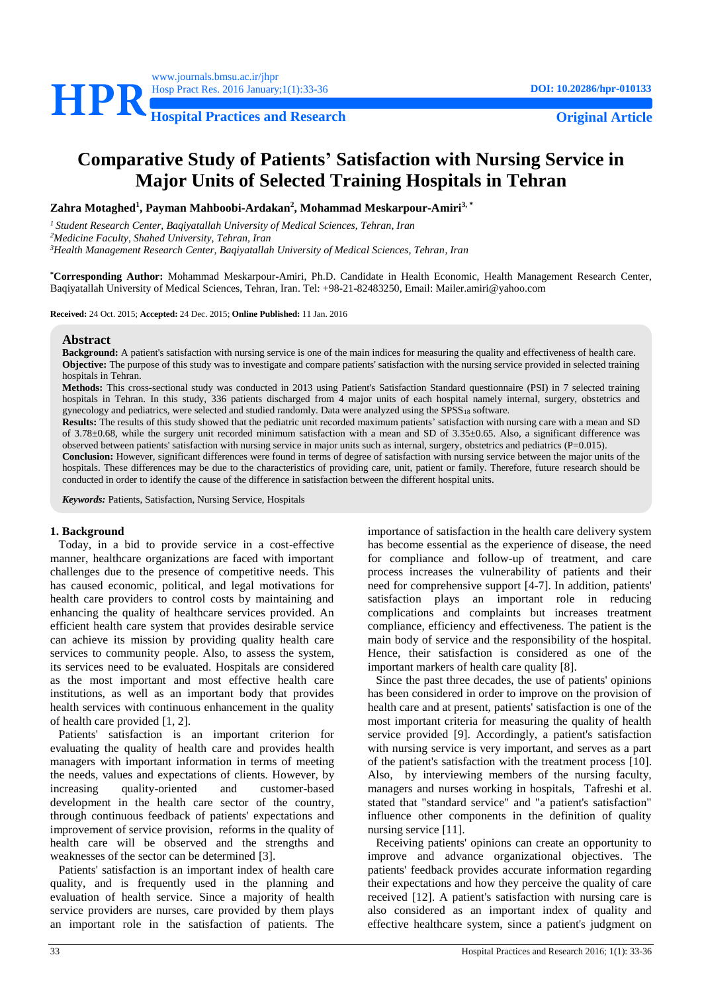

# **Comparative Study of Patients' Satisfaction with Nursing Service in Major Units of Selected Training Hospitals in Tehran**

**Zahra Motaghed<sup>1</sup> , Payman Mahboobi-Ardakan<sup>2</sup> , Mohammad Meskarpour-Amiri3, \***

*<sup>1</sup>Student Research Center, Baqiyatallah University of Medical Sciences, Tehran, Iran <sup>2</sup>Medicine Faculty, Shahed University, Tehran, Iran <sup>3</sup>Health Management Research Center, Baqiyatallah University of Medical Sciences, Tehran, Iran*

**\*Corresponding Author:** Mohammad Meskarpour-Amiri, Ph.D. Candidate in Health Economic, Health Management Research Center, Baqiyatallah University of Medical Sciences, Tehran, Iran. Tel: +98-21-82483250, Email: Mailer.amiri@yahoo.com

**Received:** 24 Oct. 2015; **Accepted:** 24 Dec. 2015; **Online Published:** 11 Jan. 2016

#### **Abstract**

**Background:** A patient's satisfaction with nursing service is one of the main indices for measuring the quality and effectiveness of health care. **Objective:** The purpose of this study was to investigate and compare patients' satisfaction with the nursing service provided in selected training hospitals in Tehran.

**Methods:** This cross-sectional study was conducted in 2013 using Patient's Satisfaction Standard questionnaire (PSI) in 7 selected training hospitals in Tehran. In this study, 336 patients discharged from 4 major units of each hospital namely internal, surgery, obstetrics and gynecology and pediatrics, were selected and studied randomly. Data were analyzed using the SPSS<sup>18</sup> software.

**Results:** The results of this study showed that the pediatric unit recorded maximum patients' satisfaction with nursing care with a mean and SD of 3.78±0.68, while the surgery unit recorded minimum satisfaction with a mean and SD of 3.35±0.65. Also, a significant difference was observed between patients' satisfaction with nursing service in major units such as internal, surgery, obstetrics and pediatrics (P=0.015).

**Conclusion:** However, significant differences were found in terms of degree of satisfaction with nursing service between the major units of the hospitals. These differences may be due to the characteristics of providing care, unit, patient or family. Therefore, future research should be conducted in order to identify the cause of the difference in satisfaction between the different hospital units.

*Keywords:* Patients, Satisfaction, Nursing Service, Hospitals

#### **1. Background**

Today, in a bid to provide service in a cost-effective manner, healthcare organizations are faced with important challenges due to the presence of competitive needs. This has caused economic, political, and legal motivations for health care providers to control costs by maintaining and enhancing the quality of healthcare services provided. An efficient health care system that provides desirable service can achieve its mission by providing quality health care services to community people. Also, to assess the system, its services need to be evaluated. Hospitals are considered as the most important and most effective health care institutions, as well as an important body that provides health services with continuous enhancement in the quality of health care provided [\[1,](#page-2-0) [2\]](#page-2-1).

Patients' satisfaction is an important criterion for evaluating the quality of health care and provides health managers with important information in terms of meeting the needs, values and expectations of clients. However, by increasing quality-oriented and customer-based development in the health care sector of the country, through continuous feedback of patients' expectations and improvement of service provision, reforms in the quality of health care will be observed and the strengths and weaknesses of the sector can be determined [\[3\]](#page-2-2).

Patients' satisfaction is an important index of health care quality, and is frequently used in the planning and evaluation of health service. Since a majority of health service providers are nurses, care provided by them plays an important role in the satisfaction of patients. The

importance of satisfaction in the health care delivery system has become essential as the experience of disease, the need for compliance and follow-up of treatment, and care process increases the vulnerability of patients and their need for comprehensive support [\[4-7\]](#page-2-3). In addition, patients' satisfaction plays an important role in reducing complications and complaints but increases treatment compliance, efficiency and effectiveness. The patient is the main body of service and the responsibility of the hospital. Hence, their satisfaction is considered as one of the important markers of health care quality [\[8\]](#page-2-4).

Since the past three decades, the use of patients' opinions has been considered in order to improve on the provision of health care and at present, patients' satisfaction is one of the most important criteria for measuring the quality of health service provided [\[9\]](#page-2-5). Accordingly, a patient's satisfaction with nursing service is very important, and serves as a part of the patient's satisfaction with the treatment process [\[10\]](#page-3-0). Also, by interviewing members of the nursing faculty, managers and nurses working in hospitals, Tafreshi et al. stated that "standard service" and "a patient's satisfaction" influence other components in the definition of quality nursing service [\[11\]](#page-3-1).

Receiving patients' opinions can create an opportunity to improve and advance organizational objectives. The patients' feedback provides accurate information regarding their expectations and how they perceive the quality of care received [\[12\]](#page-3-2). A patient's satisfaction with nursing care is also considered as an important index of quality and effective healthcare system, since a patient's judgment on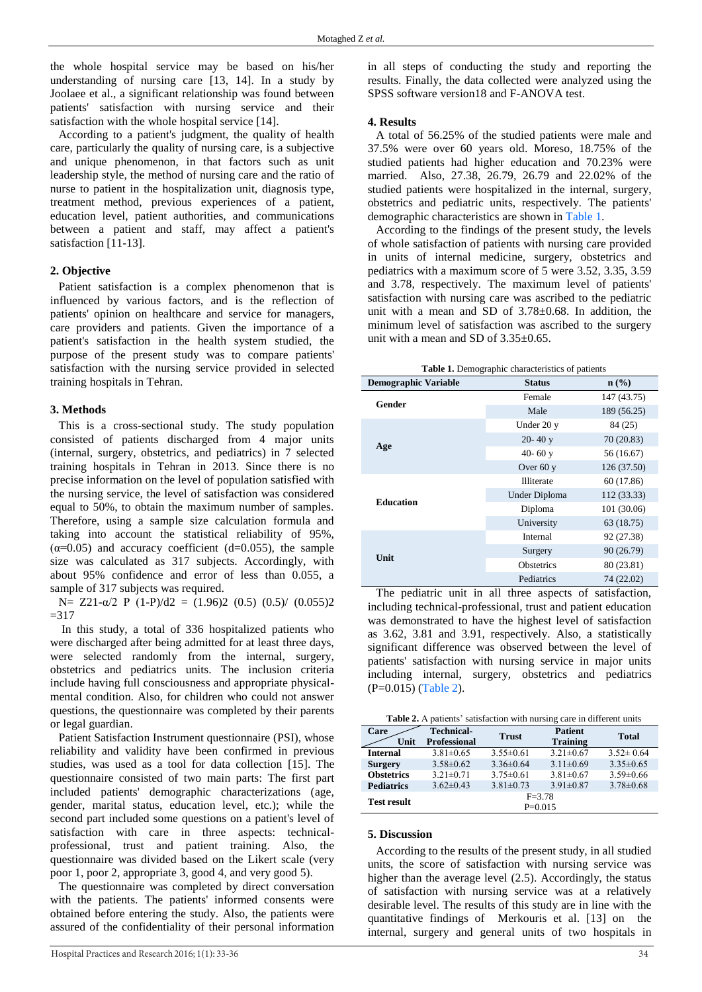I

the whole hospital service may be based on his/her understanding of nursing care [\[13,](#page-3-3) [14\]](#page-3-4). In a study by Joolaee et al., a significant relationship was found between patients' satisfaction with nursing service and their satisfaction with the whole hospital service [\[14\]](#page-3-4).

According to a patient's judgment, the quality of health care, particularly the quality of nursing care, is a subjective and unique phenomenon, in that factors such as unit leadership style, the method of nursing care and the ratio of nurse to patient in the hospitalization unit, diagnosis type, treatment method, previous experiences of a patient, education level, patient authorities, and communications between a patient and staff, may affect a patient's satisfaction [\[11-13\]](#page-3-1).

### **2. Objective**

Patient satisfaction is a complex phenomenon that is influenced by various factors, and is the reflection of patients' opinion on healthcare and service for managers, care providers and patients. Given the importance of a patient's satisfaction in the health system studied, the purpose of the present study was to compare patients' satisfaction with the nursing service provided in selected training hospitals in Tehran.

#### **3. Methods**

This is a cross-sectional study. The study population consisted of patients discharged from 4 major units (internal, surgery, obstetrics, and pediatrics) in 7 selected training hospitals in Tehran in 2013. Since there is no precise information on the level of population satisfied with the nursing service, the level of satisfaction was considered equal to 50%, to obtain the maximum number of samples. Therefore, using a sample size calculation formula and taking into account the statistical reliability of 95%,  $(\alpha=0.05)$  and accuracy coefficient (d=0.055), the sample size was calculated as 317 subjects. Accordingly, with about 95% confidence and error of less than 0.055, a sample of 317 subjects was required.

N= Z21- $\alpha$ /2 P (1-P)/d2 = (1.96)2 (0.5) (0.5)/ (0.055)2  $=317$ 

In this study, a total of 336 hospitalized patients who were discharged after being admitted for at least three days, were selected randomly from the internal, surgery, obstetrics and pediatrics units. The inclusion criteria include having full consciousness and appropriate physicalmental condition. Also, for children who could not answer questions, the questionnaire was completed by their parents or legal guardian.

Patient Satisfaction Instrument questionnaire (PSI), whose reliability and validity have been confirmed in previous studies, was used as a tool for data collection [\[15\]](#page-3-5). The questionnaire consisted of two main parts: The first part included patients' demographic characterizations (age, gender, marital status, education level, etc.); while the second part included some questions on a patient's level of satisfaction with care in three aspects: technicalprofessional, trust and patient training. Also, the questionnaire was divided based on the Likert scale (very poor 1, poor 2, appropriate 3, good 4, and very good 5).

The questionnaire was completed by direct conversation with the patients. The patients' informed consents were obtained before entering the study. Also, the patients were assured of the confidentiality of their personal information

in all steps of conducting the study and reporting the results. Finally, the data collected were analyzed using the SPSS software version18 and F-ANOVA test.

#### **4. Results**

A total of 56.25% of the studied patients were male and 37.5% were over 60 years old. Moreso, 18.75% of the studied patients had higher education and 70.23% were married. Also, 27.38, 26.79, 26.79 and 22.02% of the studied patients were hospitalized in the internal, surgery, obstetrics and pediatric units, respectively. The patients' demographic characteristics are shown in [Table 1.](#page-1-0)

According to the findings of the present study, the levels of whole satisfaction of patients with nursing care provided in units of internal medicine, surgery, obstetrics and pediatrics with a maximum score of 5 were 3.52, 3.35, 3.59 and 3.78, respectively. The maximum level of patients' satisfaction with nursing care was ascribed to the pediatric unit with a mean and SD of 3.78±0.68. In addition, the minimum level of satisfaction was ascribed to the surgery unit with a mean and SD of 3.35±0.65.

|  |  | Table 1. Demographic characteristics of patients |  |
|--|--|--------------------------------------------------|--|
|--|--|--------------------------------------------------|--|

<span id="page-1-0"></span>

| <b>Demographic Variable</b> | <b>Status</b>     | $n$ (%)     |
|-----------------------------|-------------------|-------------|
| Gender                      | Female            | 147 (43.75) |
|                             | Male              | 189 (56.25) |
|                             | Under 20 y        | 84 (25)     |
|                             | $20 - 40y$        | 70 (20.83)  |
| Age                         | 40-60 $y$         | 56 (16.67)  |
|                             | Over $60y$        | 126 (37.50) |
|                             | <b>Illiterate</b> | 60 (17.86)  |
| <b>Education</b>            | Under Diploma     | 112 (33.33) |
|                             | Diploma           | 101 (30.06) |
|                             | University        | 63 (18.75)  |
|                             | Internal          | 92 (27.38)  |
| Unit                        | Surgery           | 90 (26.79)  |
|                             | <b>Obstetrics</b> | 80 (23.81)  |
|                             | Pediatrics        | 74 (22.02)  |

The pediatric unit in all three aspects of satisfaction, including technical-professional, trust and patient education was demonstrated to have the highest level of satisfaction as 3.62, 3.81 and 3.91, respectively. Also, a statistically significant difference was observed between the level of patients' satisfaction with nursing service in major units including internal, surgery, obstetrics and pediatrics (P=0.015) [\(Table 2\)](#page-1-1).

<span id="page-1-1"></span>**Table 2.** A patients' satisfaction with nursing care in different units

| Care               | <b>Technical-</b>   | <b>Trust</b>    | <b>Patient</b>  | <b>Total</b>    |  |
|--------------------|---------------------|-----------------|-----------------|-----------------|--|
| Unit               | <b>Professional</b> |                 | <b>Training</b> |                 |  |
| <b>Internal</b>    | $3.81 \pm 0.65$     | $3.55\pm0.61$   | $3.21 \pm 0.67$ | $3.52 \pm 0.64$ |  |
| <b>Surgery</b>     | $3.58\pm0.62$       | $3.36\pm0.64$   | $3.11 \pm 0.69$ | $3.35 \pm 0.65$ |  |
| <b>Obstetrics</b>  | $3.21 \pm 0.71$     | $3.75 \pm 0.61$ | $3.81 \pm 0.67$ | $3.59 \pm 0.66$ |  |
| <b>Pediatrics</b>  | $3.62 \pm 0.43$     | $3.81 \pm 0.73$ | $3.91 \pm 0.87$ | $3.78 \pm 0.68$ |  |
| <b>Test result</b> | $F = 3.78$          |                 |                 |                 |  |
|                    | $P=0.015$           |                 |                 |                 |  |

#### **5. Discussion**

According to the results of the present study, in all studied units, the score of satisfaction with nursing service was higher than the average level (2.5). Accordingly, the status of satisfaction with nursing service was at a relatively desirable level. The results of this study are in line with the quantitative findings of Merkouris et al. [\[13\]](#page-3-3) on the internal, surgery and general units of two hospitals in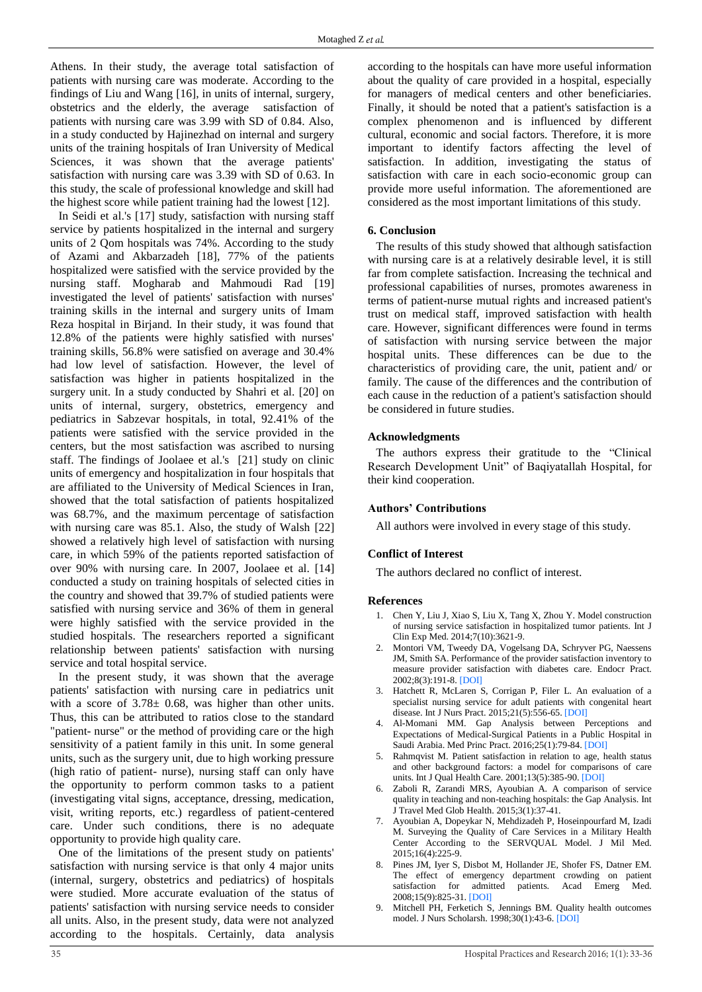Athens. In their study, the average total satisfaction of patients with nursing care was moderate. According to the findings of Liu and Wang [\[16\]](#page-3-6), in units of internal, surgery, obstetrics and the elderly, the average satisfaction of patients with nursing care was 3.99 with SD of 0.84. Also, in a study conducted by Hajinezhad on internal and surgery units of the training hospitals of Iran University of Medical Sciences, it was shown that the average patients' satisfaction with nursing care was 3.39 with SD of 0.63. In this study, the scale of professional knowledge and skill had the highest score while patient training had the lowest [\[12\]](#page-3-2).

In Seidi et al.'s [\[17\]](#page-3-7) study, satisfaction with nursing staff service by patients hospitalized in the internal and surgery units of 2 Qom hospitals was 74%. According to the study of Azami and Akbarzadeh [\[18\]](#page-3-8), 77% of the patients hospitalized were satisfied with the service provided by the nursing staff. Mogharab and Mahmoudi Rad [\[19\]](#page-3-9) investigated the level of patients' satisfaction with nurses' training skills in the internal and surgery units of Imam Reza hospital in Birjand. In their study, it was found that 12.8% of the patients were highly satisfied with nurses' training skills, 56.8% were satisfied on average and 30.4% had low level of satisfaction. However, the level of satisfaction was higher in patients hospitalized in the surgery unit. In a study conducted by Shahri et al. [\[20\]](#page-3-10) on units of internal, surgery, obstetrics, emergency and pediatrics in Sabzevar hospitals, in total, 92.41% of the patients were satisfied with the service provided in the centers, but the most satisfaction was ascribed to nursing staff. The findings of Joolaee et al.'s [\[21\]](#page-3-11) study on clinic units of emergency and hospitalization in four hospitals that are affiliated to the University of Medical Sciences in Iran, showed that the total satisfaction of patients hospitalized was 68.7%, and the maximum percentage of satisfaction with nursing care was 85.1. Also, the study of Walsh [\[22\]](#page-3-12) showed a relatively high level of satisfaction with nursing care, in which 59% of the patients reported satisfaction of over 90% with nursing care. In 2007, Joolaee et al. [\[14\]](#page-3-4) conducted a study on training hospitals of selected cities in the country and showed that 39.7% of studied patients were satisfied with nursing service and 36% of them in general were highly satisfied with the service provided in the studied hospitals. The researchers reported a significant relationship between patients' satisfaction with nursing service and total hospital service.

In the present study, it was shown that the average patients' satisfaction with nursing care in pediatrics unit with a score of  $3.78 \pm 0.68$ , was higher than other units. Thus, this can be attributed to ratios close to the standard "patient- nurse" or the method of providing care or the high sensitivity of a patient family in this unit. In some general units, such as the surgery unit, due to high working pressure (high ratio of patient- nurse), nursing staff can only have the opportunity to perform common tasks to a patient (investigating vital signs, acceptance, dressing, medication, visit, writing reports, etc.) regardless of patient-centered care. Under such conditions, there is no adequate opportunity to provide high quality care.

One of the limitations of the present study on patients' satisfaction with nursing service is that only 4 major units (internal, surgery, obstetrics and pediatrics) of hospitals were studied. More accurate evaluation of the status of patients' satisfaction with nursing service needs to consider all units. Also, in the present study, data were not analyzed according to the hospitals. Certainly, data analysis

according to the hospitals can have more useful information about the quality of care provided in a hospital, especially for managers of medical centers and other beneficiaries. Finally, it should be noted that a patient's satisfaction is a complex phenomenon and is influenced by different cultural, economic and social factors. Therefore, it is more important to identify factors affecting the level of satisfaction. In addition, investigating the status of satisfaction with care in each socio-economic group can provide more useful information. The aforementioned are considered as the most important limitations of this study.

## **6. Conclusion**

The results of this study showed that although satisfaction with nursing care is at a relatively desirable level, it is still far from complete satisfaction. Increasing the technical and professional capabilities of nurses, promotes awareness in terms of patient-nurse mutual rights and increased patient's trust on medical staff, improved satisfaction with health care. However, significant differences were found in terms of satisfaction with nursing service between the major hospital units. These differences can be due to the characteristics of providing care, the unit, patient and/ or family. The cause of the differences and the contribution of each cause in the reduction of a patient's satisfaction should be considered in future studies.

## **Acknowledgments**

The authors express their gratitude to the "Clinical Research Development Unit" of Baqiyatallah Hospital, for their kind cooperation.

## **Authors' Contributions**

All authors were involved in every stage of this study.

## **Conflict of Interest**

The authors declared no conflict of interest.

## **References**

- <span id="page-2-0"></span>1. Chen Y, Liu J, Xiao S, Liu X, Tang X, Zhou Y. Model construction of nursing service satisfaction in hospitalized tumor patients. Int J Clin Exp Med. 2014;7(10):3621-9.
- <span id="page-2-1"></span>2. Montori VM, Tweedy DA, Vogelsang DA, Schryver PG, Naessens JM, Smith SA. Performance of the provider satisfaction inventory to measure provider satisfaction with diabetes care. Endocr Pract. 2002;8(3):191-8. [\[DOI\]](http://dx.doi.org/10.4158/EP.8.3.191)
- <span id="page-2-2"></span>3. Hatchett R, McLaren S, Corrigan P, Filer L. An evaluation of a specialist nursing service for adult patients with congenital heart disease. Int J Nurs Pract. 2015;21(5):556-65. [\[DOI\]](http://dx.doi.org/10.1111/ijn.12300)
- <span id="page-2-3"></span>4. Al-Momani MM. Gap Analysis between Perceptions and Expectations of Medical-Surgical Patients in a Public Hospital in Saudi Arabia. Med Princ Pract. 2016;25(1):79-84. [\[DOI\]](http://dx.doi.org/10.1159/000441000)
- 5. Rahmqvist M. Patient satisfaction in relation to age, health status and other background factors: a model for comparisons of care units. Int J Qual Health Care. 2001;13(5):385-90. [\[DOI\]](http://dx.doi.org/10.1093/intqhc/13.5.385)
- 6. Zaboli R, Zarandi MRS, Ayoubian A. A comparison of service quality in teaching and non-teaching hospitals: the Gap Analysis. Int J Travel Med Glob Health. 2015;3(1):37-41.
- 7. Ayoubian A, Dopeykar N, Mehdizadeh P, Hoseinpourfard M, Izadi M. Surveying the Quality of Care Services in a Military Health Center According to the SERVQUAL Model. J Mil Med. 2015;16(4):225-9.
- <span id="page-2-4"></span>8. Pines JM, Iyer S, Disbot M, Hollander JE, Shofer FS, Datner EM. The effect of emergency department crowding on patient satisfaction for admitted patients. Acad Emerg Med. 2008;15(9):825-31. [\[DOI\]](http://dx.doi.org/10.1111/j.1553-2712.2008.00200.x)
- <span id="page-2-5"></span>9. Mitchell PH, Ferketich S, Jennings BM. Quality health outcomes model. J Nurs Scholarsh. 1998;30(1):43-6. [\[DOI\]](http://dx.doi.org/10.1111/j.1547-5069.1998.tb01234.x)